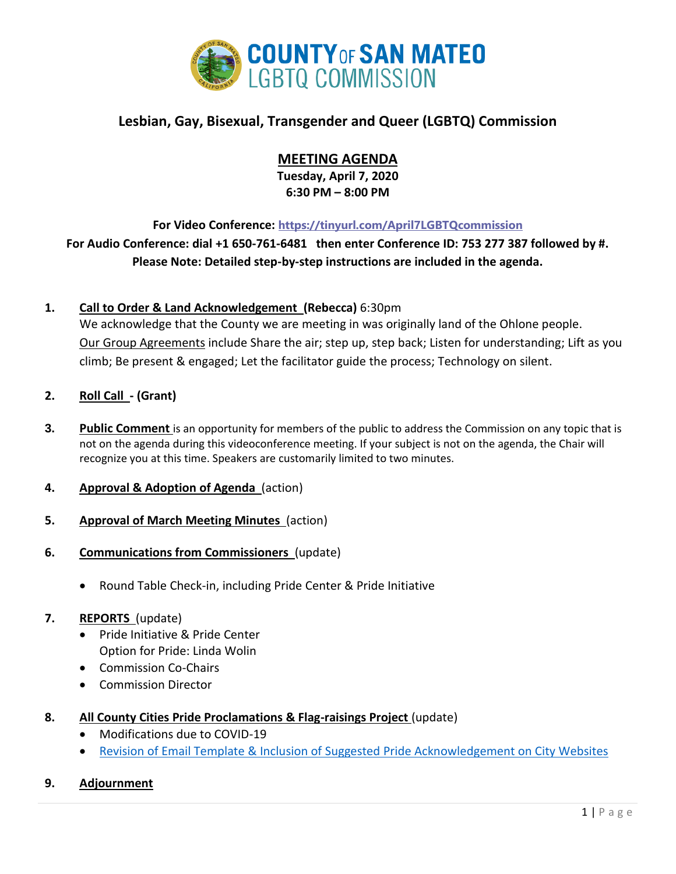

# **Lesbian, Gay, Bisexual, Transgender and Queer (LGBTQ) Commission**

# **MEETING AGENDA**

**Tuesday, April 7, 2020 6:30 PM – 8:00 PM**

**For Video Conference: <https://tinyurl.com/April7LGBTQcommission>**

**For Audio Conference: dial +1 650-761-6481 then enter Conference ID: 753 277 387 followed by #. Please Note: Detailed step-by-step instructions are included in the agenda.**

## **1. Call to Order & Land Acknowledgement (Rebecca)** 6:30pm

We acknowledge that the County we are meeting in was originally land of the Ohlone people. Our Group Agreements include Share the air; step up, step back; Listen for understanding; Lift as you climb; Be present & engaged; Let the facilitator guide the process; Technology on silent.

- **2. Roll Call - (Grant)**
- **3. Public Comment** is an opportunity for members of the public to address the Commission on any topic that is not on the agenda during this videoconference meeting. If your subject is not on the agenda, the Chair will recognize you at this time. Speakers are customarily limited to two minutes.
- **4. Approval & Adoption of Agenda** (action)
- **5. Approval of March Meeting Minutes** (action)
- **6. Communications from Commissioners** (update)
	- Round Table Check-in, including Pride Center & Pride Initiative

## **7. REPORTS** (update)

- Pride Initiative & Pride Center Option for Pride: Linda Wolin
- Commission Co-Chairs
- Commission Director
- **8. All County Cities Pride Proclamations & Flag-raisings Project** (update)
	- Modifications due to COVID-19
	- [Revision of Email Template & Inclusion of Suggested Pride Acknowledgement on City Websites](https://docs.google.com/document/d/1eJlplmK56ll70e3hhzhAvcOHS5oPFFTjf4eJ8AnUhOE/edit?usp=sharing)

## **9. Adjournment**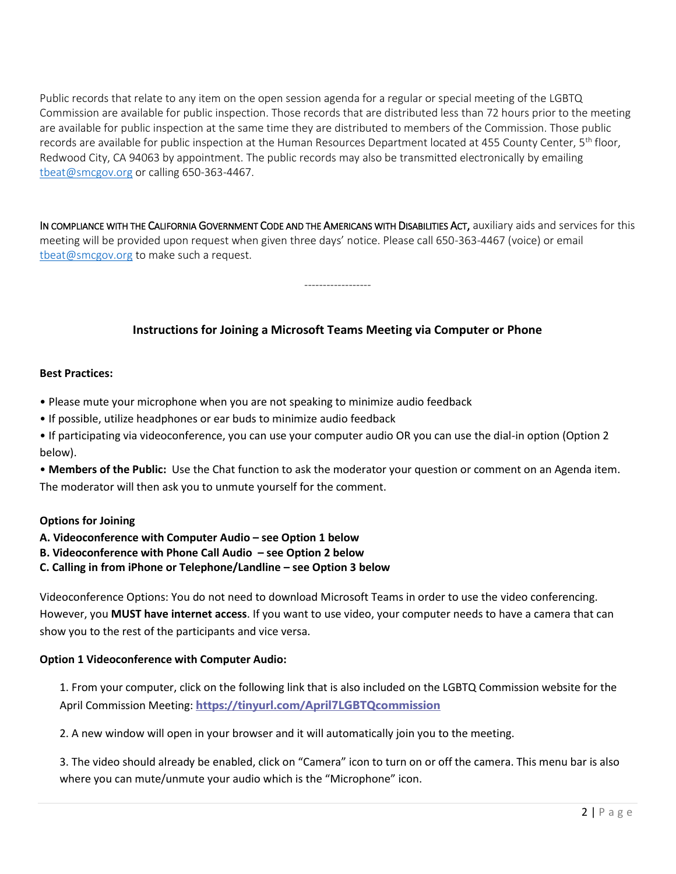Public records that relate to any item on the open session agenda for a regular or special meeting of the LGBTQ Commission are available for public inspection. Those records that are distributed less than 72 hours prior to the meeting are available for public inspection at the same time they are distributed to members of the Commission. Those public records are available for public inspection at the Human Resources Department located at 455 County Center, 5<sup>th</sup> floor, Redwood City, CA 94063 by appointment. The public records may also be transmitted electronically by emailing [tbeat@smcgov.org](mailto:tbeat@smcgov.org) or calling 650-363-4467.

IN COMPLIANCE WITH THE CALIFORNIA GOVERNMENT CODE AND THE AMERICANS WITH DISABILITIES ACT, auxiliary aids and services for this meeting will be provided upon request when given three days' notice. Please call 650-363-4467 (voice) or email [tbeat@smcgov.org](mailto:tbeat@smcgov.org) to make such a request.

------------------

## **Instructions for Joining a Microsoft Teams Meeting via Computer or Phone**

#### **Best Practices:**

- Please mute your microphone when you are not speaking to minimize audio feedback
- If possible, utilize headphones or ear buds to minimize audio feedback
- If participating via videoconference, you can use your computer audio OR you can use the dial-in option (Option 2 below).

• **Members of the Public:** Use the Chat function to ask the moderator your question or comment on an Agenda item. The moderator will then ask you to unmute yourself for the comment.

### **Options for Joining**

- **A. Videoconference with Computer Audio – see Option 1 below**
- **B. Videoconference with Phone Call Audio – see Option 2 below**
- **C. Calling in from iPhone or Telephone/Landline – see Option 3 below**

Videoconference Options: You do not need to download Microsoft Teams in order to use the video conferencing. However, you **MUST have internet access**. If you want to use video, your computer needs to have a camera that can show you to the rest of the participants and vice versa.

# **Option 1 Videoconference with Computer Audio:**

1. From your computer, click on the following link that is also included on the LGBTQ Commission website for the April Commission Meeting: **<https://tinyurl.com/April7LGBTQcommission>**

2. A new window will open in your browser and it will automatically join you to the meeting.

3. The video should already be enabled, click on "Camera" icon to turn on or off the camera. This menu bar is also where you can mute/unmute your audio which is the "Microphone" icon.